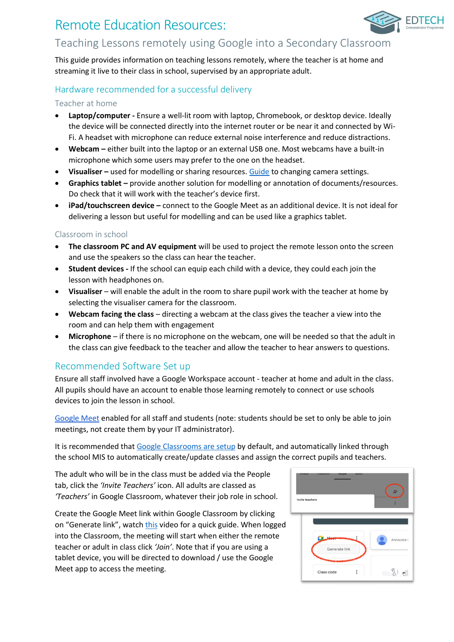# Remote Education Resources:



## Teaching Lessons remotely using Google into a Secondary Classroom

This guide provides information on teaching lessons remotely, where the teacher is at home and streaming it live to their class in school, supervised by an appropriate adult.

## Hardware recommended for a successful delivery

### Teacher at home

- **Laptop/computer -** Ensure a well-lit room with laptop, Chromebook, or desktop device. Ideally the device will be connected directly into the internet router or be near it and connected by Wi-Fi. A headset with microphone can reduce external noise interference and reduce distractions.
- **Webcam –** either built into the laptop or an external USB one. Most webcams have a built-in microphone which some users may prefer to the one on the headset.
- **Visualiser –** used for modelling or sharing resources. [Guide](https://support.google.com/meet/answer/9302964?hl=en&co=GENIE.Platform=Desktop) to changing camera settings.
- **Graphics tablet –** provide another solution for modelling or annotation of documents/resources. Do check that it will work with the teacher's device first.
- **iPad/touchscreen device –** connect to the Google Meet as an additional device. It is not ideal for delivering a lesson but useful for modelling and can be used like a graphics tablet.

## Classroom in school

- **The classroom PC and AV equipment** will be used to project the remote lesson onto the screen and use the speakers so the class can hear the teacher.
- **Student devices -** If the school can equip each child with a device, they could each join the lesson with headphones on.
- **Visualiser** will enable the adult in the room to share pupil work with the teacher at home by selecting the visualiser camera for the classroom.
- **Webcam facing the class** directing a webcam at the class gives the teacher a view into the room and can help them with engagement
- **Microphone** if there is no microphone on the webcam, one will be needed so that the adult in the class can give feedback to the teacher and allow the teacher to hear answers to questions.

## Recommended Software Set up

Ensure all staff involved have a Google Workspace account - teacher at home and adult in the class. All pupils should have an account to enable those learning remotely to connect or use schools devices to join the lesson in school.

[Google Meet](https://support.google.com/a/answer/9493952?hl=en&ref_topic=7302334) enabled for all staff and students (note: students should be set to only be able to join meetings, not create them by your IT administrator).

It is recommended that [Google Classrooms are setup](https://support.google.com/a/topic/6039552?hl=en&ref_topic=9854636) by default, and automatically linked through the school MIS to automatically create/update classes and assign the correct pupils and teachers.

The adult who will be in the class must be added via the People tab, click the *'Invite Teachers'* icon. All adults are classed as *'Teachers'* in Google Classroom, whatever their job role in school.

Create the Google Meet link within Google Classroom by clicking on "Generate link", watch [this](https://www.youtube.com/watch?v=71BAeZZvDKs) video for a quick guide. When logged into the Classroom, the meeting will start when either the remote teacher or adult in class click *'Join'*. Note that if you are using a tablet device, you will be directed to download / use the Google Meet app to access the meeting.